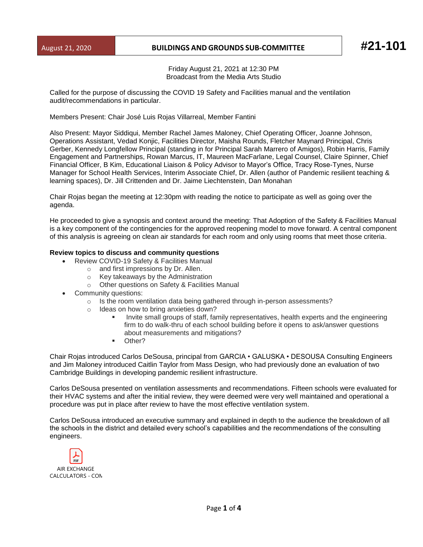## August 21, 2020 **BUILDINGS AND GROUNDS SUB-COMMITTEE #21-101**

Friday August 21, 2021 at 12:30 PM Broadcast from the Media Arts Studio

Called for the purpose of discussing the COVID 19 Safety and Facilities manual and the ventilation audit/recommendations in particular.

Members Present: Chair José Luis Rojas Villarreal, Member Fantini

Also Present: Mayor Siddiqui, Member Rachel James Maloney, Chief Operating Officer, Joanne Johnson, Operations Assistant, Vedad Konjic, Facilities Director, Maisha Rounds, Fletcher Maynard Principal, Chris Gerber, Kennedy Longfellow Principal (standing in for Principal Sarah Marrero of Amigos), Robin Harris, Family Engagement and Partnerships, Rowan Marcus, IT, Maureen MacFarlane, Legal Counsel, Claire Spinner, Chief Financial Officer, B Kim, Educational Liaison & Policy Advisor to Mayor's Office, Tracy Rose-Tynes, Nurse Manager for School Health Services, Interim Associate Chief, Dr. Allen (author of Pandemic resilient teaching & learning spaces), Dr. Jill Crittenden and Dr. Jaime Liechtenstein, Dan Monahan

Chair Rojas began the meeting at 12:30pm with reading the notice to participate as well as going over the agenda.

He proceeded to give a synopsis and context around the meeting: That Adoption of the Safety & Facilities Manual is a key component of the contingencies for the approved reopening model to move forward. A central component of this analysis is agreeing on clean air standards for each room and only using rooms that meet those criteria.

## **Review topics to discuss and community questions**

- Review COVID-19 Safety & Facilities Manual
	- o and first impressions by Dr. Allen.
	- o Key takeaways by the Administration
	- o Other questions on Safety & Facilities Manual
- Community questions:
	- $\circ$  Is the room ventilation data being gathered through in-person assessments?
	- o Ideas on how to bring anxieties down?
		- Invite small groups of staff, family representatives, health experts and the engineering firm to do walk-thru of each school building before it opens to ask/answer questions about measurements and mitigations?
		- Other?

Chair Rojas introduced Carlos DeSousa, principal from GARCIA • GALUSKA • DESOUSA Consulting Engineers and Jim Maloney introduced Caitlin Taylor from Mass Design, who had previously done an evaluation of two Cambridge Buildings in developing pandemic resilient infrastructure.

Carlos DeSousa presented on ventilation assessments and recommendations. Fifteen schools were evaluated for their HVAC systems and after the initial review, they were deemed were very well maintained and operational a procedure was put in place after review to have the most effective ventilation system.

Carlos DeSousa introduced an executive summary and explained in depth to the audience the breakdown of all the schools in the district and detailed every school's capabilities and the recommendations of the consulting engineers.

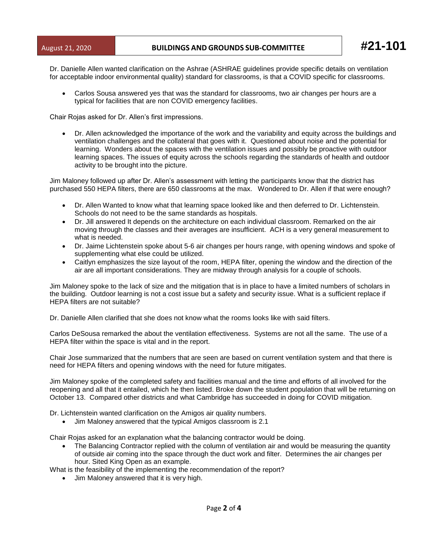Dr. Danielle Allen wanted clarification on the Ashrae (ASHRAE guidelines provide specific details on ventilation for acceptable indoor environmental quality) standard for classrooms, is that a COVID specific for classrooms.

• Carlos Sousa answered yes that was the standard for classrooms, two air changes per hours are a typical for facilities that are non COVID emergency facilities.

Chair Rojas asked for Dr. Allen's first impressions.

• Dr. Allen acknowledged the importance of the work and the variability and equity across the buildings and ventilation challenges and the collateral that goes with it. Questioned about noise and the potential for learning. Wonders about the spaces with the ventilation issues and possibly be proactive with outdoor learning spaces. The issues of equity across the schools regarding the standards of health and outdoor activity to be brought into the picture.

Jim Maloney followed up after Dr. Allen's assessment with letting the participants know that the district has purchased 550 HEPA filters, there are 650 classrooms at the max. Wondered to Dr. Allen if that were enough?

- Dr. Allen Wanted to know what that learning space looked like and then deferred to Dr. Lichtenstein. Schools do not need to be the same standards as hospitals.
- Dr. Jill answered It depends on the architecture on each individual classroom. Remarked on the air moving through the classes and their averages are insufficient. ACH is a very general measurement to what is needed.
- Dr. Jaime Lichtenstein spoke about 5-6 air changes per hours range, with opening windows and spoke of supplementing what else could be utilized.
- Caitlyn emphasizes the size layout of the room, HEPA filter, opening the window and the direction of the air are all important considerations. They are midway through analysis for a couple of schools.

Jim Maloney spoke to the lack of size and the mitigation that is in place to have a limited numbers of scholars in the building. Outdoor learning is not a cost issue but a safety and security issue. What is a sufficient replace if HEPA filters are not suitable?

Dr. Danielle Allen clarified that she does not know what the rooms looks like with said filters.

Carlos DeSousa remarked the about the ventilation effectiveness. Systems are not all the same. The use of a HEPA filter within the space is vital and in the report.

Chair Jose summarized that the numbers that are seen are based on current ventilation system and that there is need for HEPA filters and opening windows with the need for future mitigates.

Jim Maloney spoke of the completed safety and facilities manual and the time and efforts of all involved for the reopening and all that it entailed, which he then listed. Broke down the student population that will be returning on October 13. Compared other districts and what Cambridge has succeeded in doing for COVID mitigation.

Dr. Lichtenstein wanted clarification on the Amigos air quality numbers.

• Jim Maloney answered that the typical Amigos classroom is 2.1

Chair Rojas asked for an explanation what the balancing contractor would be doing.

• The Balancing Contractor replied with the column of ventilation air and would be measuring the quantity of outside air coming into the space through the duct work and filter. Determines the air changes per hour. Sited King Open as an example.

What is the feasibility of the implementing the recommendation of the report?

• Jim Maloney answered that it is very high.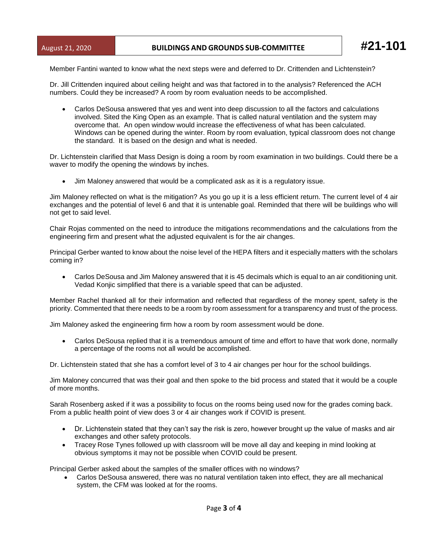Member Fantini wanted to know what the next steps were and deferred to Dr. Crittenden and Lichtenstein?

Dr. Jill Crittenden inquired about ceiling height and was that factored in to the analysis? Referenced the ACH numbers. Could they be increased? A room by room evaluation needs to be accomplished.

• Carlos DeSousa answered that yes and went into deep discussion to all the factors and calculations involved. Sited the King Open as an example. That is called natural ventilation and the system may overcome that. An open window would increase the effectiveness of what has been calculated. Windows can be opened during the winter. Room by room evaluation, typical classroom does not change the standard. It is based on the design and what is needed.

Dr. Lichtenstein clarified that Mass Design is doing a room by room examination in two buildings. Could there be a waver to modify the opening the windows by inches.

• Jim Maloney answered that would be a complicated ask as it is a regulatory issue.

Jim Maloney reflected on what is the mitigation? As you go up it is a less efficient return. The current level of 4 air exchanges and the potential of level 6 and that it is untenable goal. Reminded that there will be buildings who will not get to said level.

Chair Rojas commented on the need to introduce the mitigations recommendations and the calculations from the engineering firm and present what the adjusted equivalent is for the air changes.

Principal Gerber wanted to know about the noise level of the HEPA filters and it especially matters with the scholars coming in?

• Carlos DeSousa and Jim Maloney answered that it is 45 decimals which is equal to an air conditioning unit. Vedad Konjic simplified that there is a variable speed that can be adjusted.

Member Rachel thanked all for their information and reflected that regardless of the money spent, safety is the priority. Commented that there needs to be a room by room assessment for a transparency and trust of the process.

Jim Maloney asked the engineering firm how a room by room assessment would be done.

• Carlos DeSousa replied that it is a tremendous amount of time and effort to have that work done, normally a percentage of the rooms not all would be accomplished.

Dr. Lichtenstein stated that she has a comfort level of 3 to 4 air changes per hour for the school buildings.

Jim Maloney concurred that was their goal and then spoke to the bid process and stated that it would be a couple of more months.

Sarah Rosenberg asked if it was a possibility to focus on the rooms being used now for the grades coming back. From a public health point of view does 3 or 4 air changes work if COVID is present.

- Dr. Lichtenstein stated that they can't say the risk is zero, however brought up the value of masks and air exchanges and other safety protocols.
- Tracey Rose Tynes followed up with classroom will be move all day and keeping in mind looking at obvious symptoms it may not be possible when COVID could be present.

Principal Gerber asked about the samples of the smaller offices with no windows?

• Carlos DeSousa answered, there was no natural ventilation taken into effect, they are all mechanical system, the CFM was looked at for the rooms.